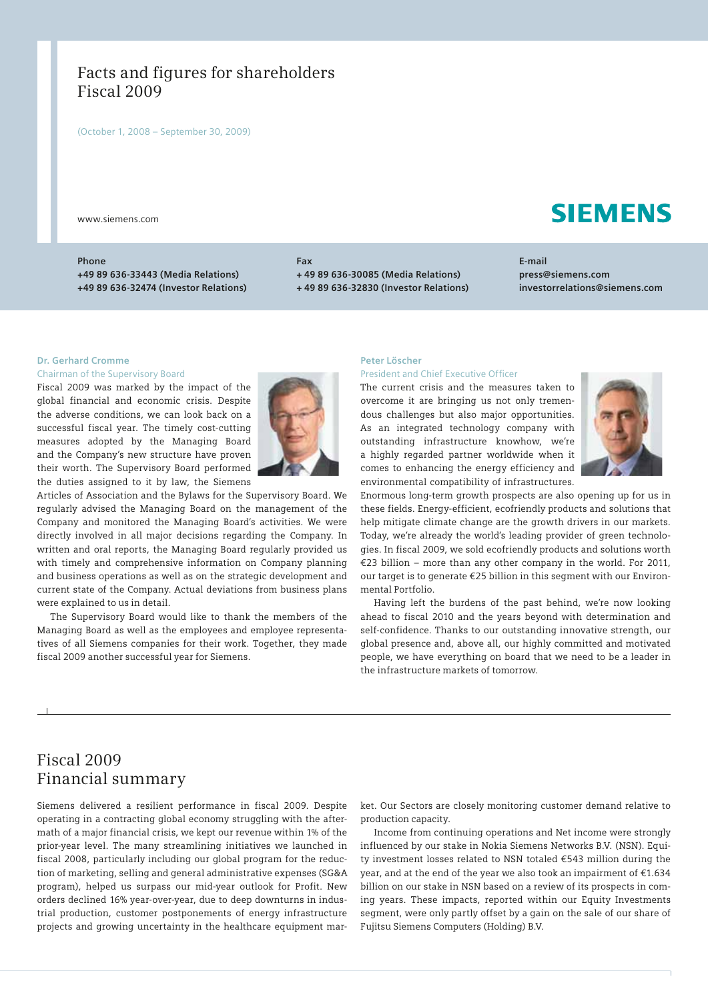# Facts and figures for shareholders Fiscal 2009

(October 1, 2008 – September 30, 2009)

www.siemens.com

**Phone +49 89 636-33443 (Media Relations) +49 89 636-32474 (Investor Relations)** **Fax**

**+ 49 89 636-30085 (Media Relations) + 49 89 636-32830 (Investor Relations)** **E-mail press@siemens.com investorrelations@siemens.com**

**SIEMENS** 

#### **Dr. Gerhard Cromme**

#### Chairman of the Supervisory Board

Fiscal 2009 was marked by the impact of the global financial and economic crisis. Despite the adverse conditions, we can look back on a successful fiscal year. The timely cost-cutting measures adopted by the Managing Board and the Company's new structure have proven their worth. The Supervisory Board performed the duties assigned to it by law, the Siemens



Articles of Association and the Bylaws for the Supervisory Board. We regularly advised the Managing Board on the management of the Company and monitored the Managing Board's activities. We were directly involved in all major decisions regarding the Company. In written and oral reports, the Managing Board regularly provided us with timely and comprehensive information on Company planning and business operations as well as on the strategic development and current state of the Company. Actual deviations from business plans were explained to us in detail.

The Supervisory Board would like to thank the members of the Managing Board as well as the employees and employee representatives of all Siemens companies for their work. Together, they made fiscal 2009 another successful year for Siemens.

### **Peter Löscher**

### President and Chief Executive Officer

The current crisis and the measures taken to overcome it are bringing us not only tremendous challenges but also major opportunities. As an integrated technology company with outstanding infrastructure knowhow, we're a highly regarded partner worldwide when it comes to enhancing the energy efficiency and environmental compatibility of infrastructures.



Enormous long-term growth prospects are also opening up for us in these fields. Energy-efficient, ecofriendly products and solutions that help mitigate climate change are the growth drivers in our markets. Today, we're already the world's leading provider of green technologies. In fiscal 2009, we sold ecofriendly products and solutions worth €23 billion – more than any other company in the world. For 2011, our target is to generate €25 billion in this segment with our Environmental Portfolio.

Having left the burdens of the past behind, we're now looking ahead to fiscal 2010 and the years beyond with determination and self-confidence. Thanks to our outstanding innovative strength, our global presence and, above all, our highly committed and motivated people, we have everything on board that we need to be a leader in the infrastructure markets of tomorrow.

# Fiscal 2009 Financial summary

Siemens delivered a resilient performance in fiscal 2009. Despite operating in a contracting global economy struggling with the aftermath of a major financial crisis, we kept our revenue within 1% of the prior-year level. The many streamlining initiatives we launched in fiscal 2008, particularly including our global program for the reduction of marketing, selling and general administrative expenses (SG&A program), helped us surpass our mid-year outlook for Profit. New orders declined 16% year-over-year, due to deep downturns in industrial production, customer postponements of energy infrastructure projects and growing uncertainty in the healthcare equipment mar-

ket. Our Sectors are closely monitoring customer demand relative to production capacity.

Income from continuing operations and Net income were strongly influenced by our stake in Nokia Siemens Networks B.V. (NSN). Equity investment losses related to NSN totaled €543 million during the year, and at the end of the year we also took an impairment of €1.634 billion on our stake in NSN based on a review of its prospects in coming years. These impacts, reported within our Equity Investments segment, were only partly offset by a gain on the sale of our share of Fujitsu Siemens Computers (Holding) B.V.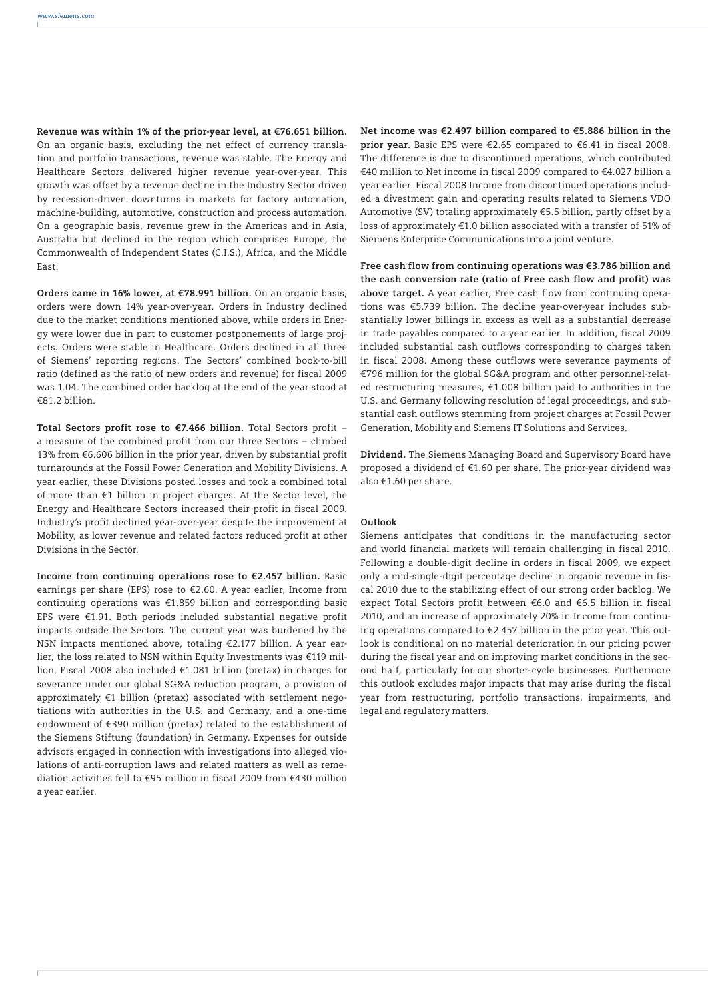**Revenue was within 1% of the prior-year level, at €76.651 billion.**  On an organic basis, excluding the net effect of currency translation and portfolio transactions, revenue was stable. The Energy and Healthcare Sectors delivered higher revenue year-over-year. This growth was offset by a revenue decline in the Industry Sector driven by recession-driven downturns in markets for factory automation, machine-building, automotive, construction and process automation. On a geographic basis, revenue grew in the Americas and in Asia, Australia but declined in the region which comprises Europe, the Commonwealth of Independent States (C.I.S.), Africa, and the Middle East.

**Orders came in 16% lower, at €78.991 billion.** On an organic basis, orders were down 14% year-over-year. Orders in Industry declined due to the market conditions mentioned above, while orders in Energy were lower due in part to customer postponements of large projects. Orders were stable in Healthcare. Orders declined in all three of Siemens' reporting regions. The Sectors' combined book-to-bill ratio (defined as the ratio of new orders and revenue) for fiscal 2009 was 1.04. The combined order backlog at the end of the year stood at €81.2 billion.

**Total Sectors profit rose to €7.466 billion.** Total Sectors profit – a measure of the combined profit from our three Sectors – climbed 13% from €6.606 billion in the prior year, driven by substantial profit turnarounds at the Fossil Power Generation and Mobility Divisions. A year earlier, these Divisions posted losses and took a combined total of more than €1 billion in project charges. At the Sector level, the Energy and Healthcare Sectors increased their profit in fiscal 2009. Industry's profit declined year-over-year despite the improvement at Mobility, as lower revenue and related factors reduced profit at other Divisions in the Sector.

**Income from continuing operations rose to €2.457 billion.** Basic earnings per share (EPS) rose to €2.60. A year earlier, Income from continuing operations was €1.859 billion and corresponding basic EPS were €1.91. Both periods included substantial negative profit impacts outside the Sectors. The current year was burdened by the NSN impacts mentioned above, totaling €2.177 billion. A year earlier, the loss related to NSN within Equity Investments was €119 million. Fiscal 2008 also included €1.081 billion (pretax) in charges for severance under our global SG&A reduction program, a provision of approximately €1 billion (pretax) associated with settlement negotiations with authorities in the U.S. and Germany, and a one-time endowment of €390 million (pretax) related to the establishment of the Siemens Stiftung (foundation) in Germany. Expenses for outside advisors engaged in connection with investigations into alleged violations of anti-corruption laws and related matters as well as remediation activities fell to €95 million in fiscal 2009 from €430 million a year earlier.

**Net income was €2.497 billion compared to €5.886 billion in the prior year.** Basic EPS were €2.65 compared to €6.41 in fiscal 2008. The difference is due to discontinued operations, which contributed €40 million to Net income in fiscal 2009 compared to €4.027 billion a year earlier. Fiscal 2008 Income from discontinued operations included a divestment gain and operating results related to Siemens VDO Automotive (SV) totaling approximately €5.5 billion, partly offset by a loss of approximately €1.0 billion associated with a transfer of 51% of Siemens Enterprise Communications into a joint venture.

**Free cash flow from continuing operations was €3.786 billion and the cash conversion rate (ratio of Free cash flow and profit) was above target.** A year earlier, Free cash flow from continuing operations was €5.739 billion. The decline year-over-year includes substantially lower billings in excess as well as a substantial decrease in trade payables compared to a year earlier. In addition, fiscal 2009 included substantial cash outflows corresponding to charges taken in fiscal 2008. Among these outflows were severance payments of €796 million for the global SG&A program and other personnel-related restructuring measures, €1.008 billion paid to authorities in the U.S. and Germany following resolution of legal proceedings, and substantial cash outflows stemming from project charges at Fossil Power Generation, Mobility and Siemens IT Solutions and Services.

**Dividend.** The Siemens Managing Board and Supervisory Board have proposed a dividend of €1.60 per share. The prior-year dividend was also €1.60 per share.

#### **Outlook**

Siemens anticipates that conditions in the manufacturing sector and world financial markets will remain challenging in fiscal 2010. Following a double-digit decline in orders in fiscal 2009, we expect only a mid-single-digit percentage decline in organic revenue in fiscal 2010 due to the stabilizing effect of our strong order backlog. We expect Total Sectors profit between €6.0 and €6.5 billion in fiscal 2010, and an increase of approximately 20% in Income from continuing operations compared to €2.457 billion in the prior year. This outlook is conditional on no material deterioration in our pricing power during the fiscal year and on improving market conditions in the second half, particularly for our shorter-cycle businesses. Furthermore this outlook excludes major impacts that may arise during the fiscal year from restructuring, portfolio transactions, impairments, and legal and regulatory matters.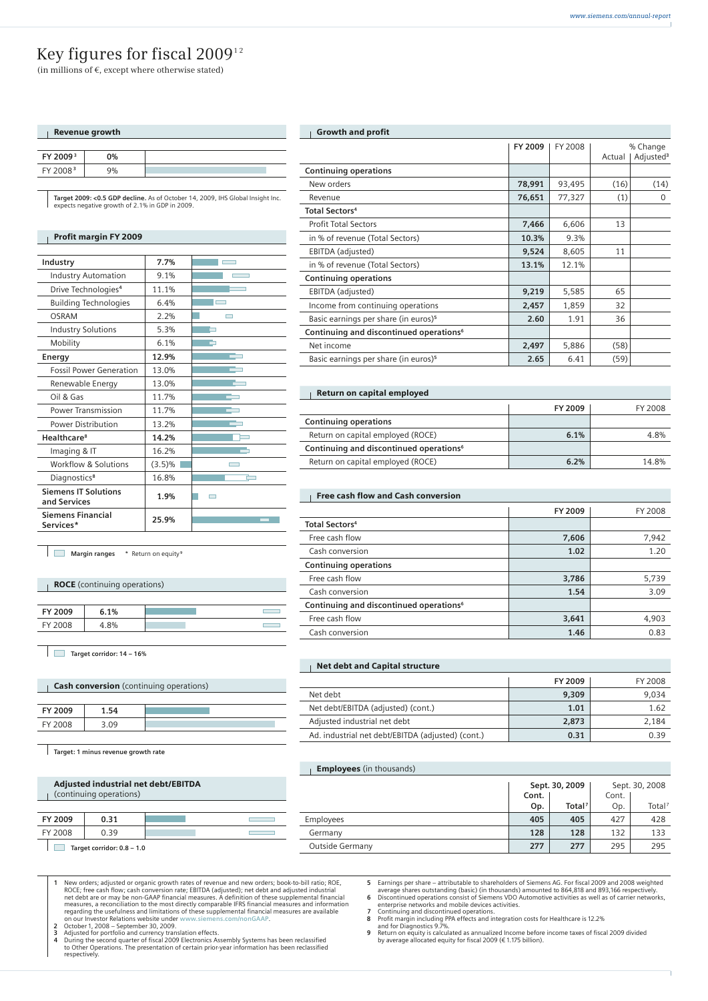## Key figures for fiscal  $2009<sup>12</sup>$

(in millions of  $\epsilon$ , except where otherwise stated)

## Revenue growth **FY 20093 0%** FY 2008**<sup>3</sup>** 9%

**Target 2009: <0.5 GDP decline.** As of October 14, 2009, IHS Global Insight Inc. expects negative growth of 2.1% in GDP in 2009.

### Profit margin FY 2009

| Industry                                    | 7.7%   |                          |
|---------------------------------------------|--------|--------------------------|
| <b>Industry Automation</b>                  | 9.1%   | $\overline{\phantom{a}}$ |
| Drive Technologies <sup>4</sup>             | 11.1%  |                          |
| <b>Building Technologies</b>                | 6.4%   |                          |
| OSRAM                                       | 2.2%   |                          |
| <b>Industry Solutions</b>                   | 5.3%   |                          |
| Mobility                                    | 6.1%   | m                        |
| Energy                                      | 12.9%  |                          |
| <b>Fossil Power Generation</b>              | 13.0%  |                          |
| Renewable Energy                            | 13.0%  |                          |
| Oil & Gas                                   | 11.7%  |                          |
| <b>Power Transmission</b>                   | 11.7%  |                          |
| <b>Power Distribution</b>                   | 13.2%  |                          |
| Healthcare <sup>8</sup>                     | 14.2%  |                          |
| Imaging & IT                                | 16.2%  |                          |
| Workflow & Solutions                        | (3.5)% |                          |
| Diagnostics <sup>8</sup>                    | 16.8%  | ட்                       |
| <b>Siemens IT Solutions</b><br>and Services | 1.9%   |                          |
| <b>Siemens Financial</b><br>Services*       | 25.9%  |                          |

**Margin ranges** \* Return on equity **<sup>9</sup>**

**ROCE** (continuing operations)

| FY 2009          | 1% |  |
|------------------|----|--|
| .10<br><b>EV</b> |    |  |

**Target corridor: 14 – 16%** 

## **Cash conversion** (continuing operations)

| FY 2009 |  |
|---------|--|
| п       |  |

**Target: 1 minus revenue growth rate**

#### Adjusted industrial net debt/EBITDA (continuing operations)

| FY 2009 | 0.31                         |  |
|---------|------------------------------|--|
| FY 2008 | 30                           |  |
|         | Target corridor: $0.8 - 1.0$ |  |

1 New orders; adjusted or organic growth rates of revenue and new orders; book-to-bill ratio; ROE, ROCE; free cash flow; cash conversion rate; EBITDA (adjusted); net debt and giusted industrial measures of the experiment d

2 October 1, 2008 – September 30, 2009.<br>3 Adjusted for portfolio and currency translation effects.<br>4 During the second quarter of fiscal 2009 Electronics Assembly Systems has been reclassified<br>to Other Operations. The pres

|                                                                        | FY 2009 | FY 2008 |        | % Change              |
|------------------------------------------------------------------------|---------|---------|--------|-----------------------|
|                                                                        |         |         | Actual | Adjusted <sup>3</sup> |
| <b>Continuing operations</b>                                           |         |         |        |                       |
| New orders                                                             | 78,991  | 93,495  | (16)   | (14)                  |
| Revenue                                                                | 76,651  | 77,327  | (1)    | 0                     |
| <b>Total Sectors<sup>4</sup></b>                                       |         |         |        |                       |
| <b>Profit Total Sectors</b>                                            | 7,466   | 6,606   | 13     |                       |
| in % of revenue (Total Sectors)                                        | 10.3%   | 9.3%    |        |                       |
| EBITDA (adjusted)                                                      | 9,524   | 8,605   | 11     |                       |
| in % of revenue (Total Sectors)                                        | 13.1%   | 12.1%   |        |                       |
| <b>Continuing operations</b>                                           |         |         |        |                       |
| EBITDA (adjusted)                                                      | 9,219   | 5,585   | 65     |                       |
| Income from continuing operations                                      | 2,457   | 1,859   | 32     |                       |
| Basic earnings per share (in euros) <sup>5</sup><br>2.60<br>1.91<br>36 |         |         |        |                       |
| Continuing and discontinued operations <sup>6</sup>                    |         |         |        |                       |
| Net income                                                             | 2,497   | 5,886   | (58)   |                       |
| Basic earnings per share (in euros) <sup>5</sup>                       | 2.65    | 6.41    | (59)   |                       |

#### Return on capital employed

|                                                     | FY 2009 | <b>FY 2008</b> |
|-----------------------------------------------------|---------|----------------|
| <b>Continuing operations</b>                        |         |                |
| Return on capital employed (ROCE)                   | 6.1%    | 4.8%           |
| Continuing and discontinued operations <sup>6</sup> |         |                |
| Return on capital employed (ROCE)                   | 6.2%    | 14.8%          |

#### $\frac{1}{2}$  Free cash flow and Cash conversion

|                                                     | FY 2009 | FY 2008 |
|-----------------------------------------------------|---------|---------|
| <b>Total Sectors4</b>                               |         |         |
| Free cash flow                                      | 7,606   | 7,942   |
| Cash conversion                                     | 1.02    | 1.20    |
| <b>Continuing operations</b>                        |         |         |
| Free cash flow                                      | 3,786   | 5,739   |
| Cash conversion                                     | 1.54    | 3.09    |
| Continuing and discontinued operations <sup>6</sup> |         |         |
| Free cash flow                                      | 3,641   | 4,903   |
| Cash conversion                                     | 1.46    | 0.83    |

#### **Net debt and Capital structure**

|                                                   | FY 2009 | FY 2008 |
|---------------------------------------------------|---------|---------|
| Net debt                                          | 9,309   | 9.034   |
| Net debt/EBITDA (adjusted) (cont.)                | 1.01    | 1.62    |
| Adjusted industrial net debt                      | 2,873   | 2.184   |
| Ad. industrial net debt/EBITDA (adjusted) (cont.) | 0.31    | 0.39    |

## **Employees** (in thousands)

|                 | Sept. 30, 2009 |                    | Sept. 30, 2008 |                    |
|-----------------|----------------|--------------------|----------------|--------------------|
|                 | Cont.          |                    | Cont.          |                    |
|                 | Op.            | Total <sup>7</sup> | Op.            | Total <sup>7</sup> |
| Employees       | 405            | 405                | 427            | 428                |
| Germany         | 128            | 128                | 132            | 133                |
| Outside Germany | 277            | 277                | 295            | 295                |

5 Earnings per share – attributable to shareholders of Siemens AG. For fiscal 2009 and 2008 weighted<br>
average shares outstanding (basic) (in thousands) amounted to 864,818 and 893,166 respectively.<br>
6 Discontinued operati